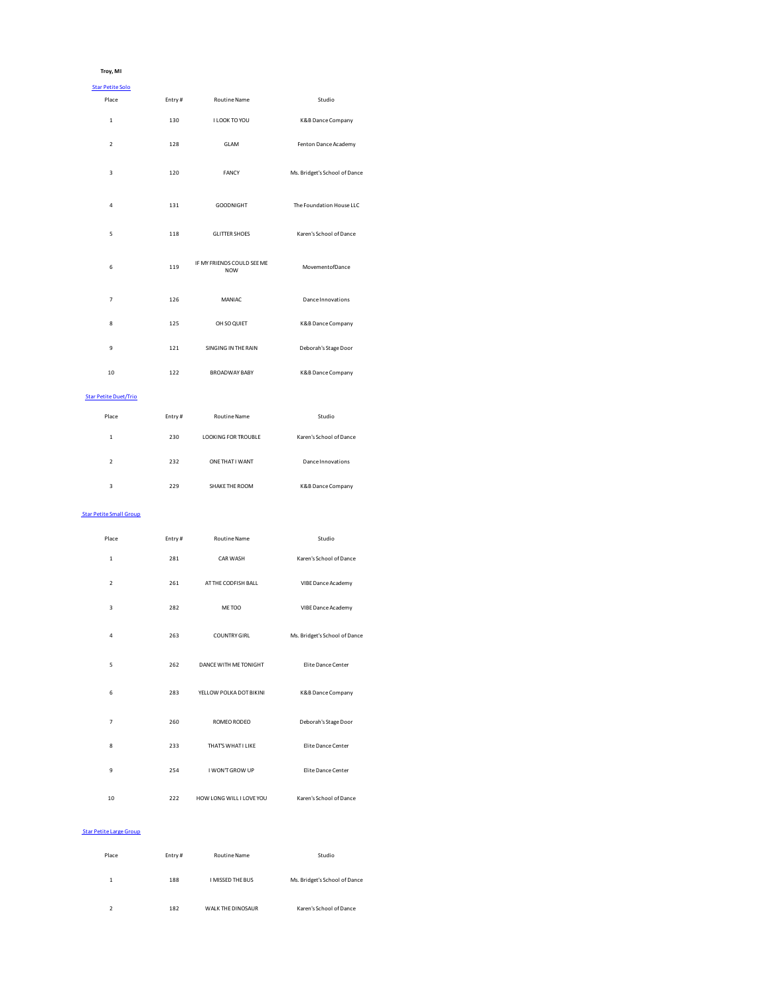## **Troy, MI**

| <b>Star Petite Solo</b>        |        |                                          |                               |
|--------------------------------|--------|------------------------------------------|-------------------------------|
| Place                          | Entry# | Routine Name                             | Studio                        |
| $\,$ 1 $\,$                    | 130    | I LOOK TO YOU                            | K&B Dance Company             |
| $\overline{2}$                 | 128    | GLAM                                     | Fenton Dance Academy          |
| 3                              | 120    | FANCY                                    | Ms. Bridget's School of Dance |
| $\overline{4}$                 | 131    | GOODNIGHT                                | The Foundation House LLC      |
| 5                              | 118    | <b>GLITTER SHOES</b>                     | Karen's School of Dance       |
| 6                              | 119    | IF MY FRIENDS COULD SEE ME<br><b>NOW</b> | MovementofDance               |
| $\overline{7}$                 | 126    | MANIAC                                   | Dance Innovations             |
| 8                              | 125    | OH SO QUIET                              | K&B Dance Company             |
| 9                              | 121    | SINGING IN THE RAIN                      | Deborah's Stage Door          |
| 10                             | 122    | <b>BROADWAY BABY</b>                     | K&B Dance Company             |
| <b>Star Petite Duet/Trio</b>   |        |                                          |                               |
| Place                          | Entry# | Routine Name                             | Studio                        |
| $\mathbf{1}$                   | 230    | LOOKING FOR TROUBLE                      | Karen's School of Dance       |
| $\overline{2}$                 | 232    | ONE THAT I WANT                          | Dance Innovations             |
| 3                              | 229    | SHAKE THE ROOM                           | K&B Dance Company             |
| <b>Star Petite Small Group</b> |        |                                          |                               |
| Place                          | Entry# | Routine Name                             | Studio                        |
| $\,$ 1 $\,$                    | 281    | CAR WASH                                 | Karen's School of Dance       |
| $\overline{2}$                 | 261    | AT THE CODFISH BALL                      | VIBE Dance Academy            |
| 3                              | 282    | ME TOO                                   | VIBE Dance Academy            |
| 4                              | 263    | <b>COUNTRY GIRL</b>                      | Ms. Bridget's School of Dance |
| 5                              | 262    | DANCE WITH ME TONIGHT                    | Elite Dance Center            |
| 6                              | 283    | YELLOW POLKA DOT BIKINI                  | K&B Dance Company             |
| 7                              | 260    | ROMEO RODEO                              | Deborah's Stage Door          |
| 8                              | 233    | THAT'S WHAT I LIKE                       | Elite Dance Center            |
| 9                              | 254    | I WON'T GROW UP                          | Elite Dance Center            |
| 10                             | 222    | HOW LONG WILL I LOVE YOU                 | Karen's School of Dance       |

### Star Petite Large Group

| Place                    | Entry# | <b>Routine Name</b> | Studio                        |
|--------------------------|--------|---------------------|-------------------------------|
| 1                        | 188    | I MISSED THE BUS    | Ms. Bridget's School of Dance |
| $\overline{\phantom{a}}$ | 182    | WAI K THE DINOSAUR  | Karen's School of Dance       |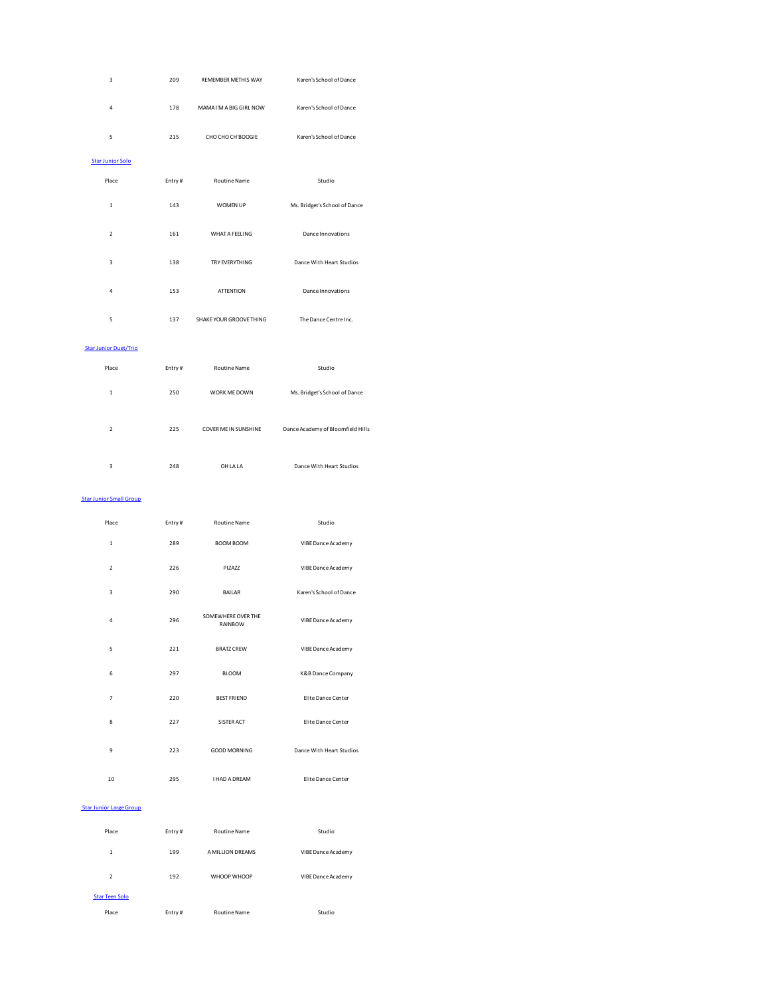| 3                              | 209    | REMEMBER METHIS WAY           | Karen's School of Dance           |
|--------------------------------|--------|-------------------------------|-----------------------------------|
| 4                              | 178    | MAMA I'M A BIG GIRL NOW       | Karen's School of Dance           |
| 5                              | 215    | CHO CHO CH'BOOGIE             | Karen's School of Dance           |
| <b>Star Junior Solo</b>        |        |                               |                                   |
| Place                          | Entry# | Routine Name                  | Studio                            |
| $\,$ 1                         | 143    | WOMEN UP                      | Ms. Bridget's School of Dance     |
| $\mathbf 2$                    | 161    | <b>WHAT A FEELING</b>         | Dance Innovations                 |
| 3                              | 138    | TRY EVERYTHING                | Dance With Heart Studios          |
| 4                              | 153    | <b>ATTENTION</b>              | Dance Innovations                 |
| 5                              | 137    | SHAKE YOUR GROOVE THING       | The Dance Centre Inc.             |
| <b>Star Junior Duet/Trio</b>   |        |                               |                                   |
| Place                          | Entry# | Routine Name                  | Studio                            |
| $\mathbf 1$                    | 250    | WORK ME DOWN                  | Ms. Bridget's School of Dance     |
| $\overline{\mathbf{2}}$        | 225    | COVER ME IN SUNSHINE          | Dance Academy of Bloomfield Hills |
| 3                              | 248    | OH LA LA                      | Dance With Heart Studios          |
|                                |        |                               |                                   |
| <b>Star Junior Small Group</b> |        |                               |                                   |
| Place                          | Entry# | Routine Name                  | Studio                            |
| $\,1\,$                        | 289    | <b>BOOM BOOM</b>              | VIBE Dance Academy                |
| $\overline{2}$                 | 226    | PIZAZZ                        | VIBE Dance Academy                |
| 3                              | 290    | <b>BAILAR</b>                 | Karen's School of Dance           |
| 4                              | 296    | SOMEWHERE OVER THE<br>RAINBOW | VIBE Dance Academy                |
| 5                              | 221    | <b>BRATZ CREW</b>             | VIBE Dance Academy                |
| 6                              | 297    | <b>BLOOM</b>                  | K&B Dance Company                 |
| $\overline{7}$                 | 220    | <b>BEST FRIEND</b>            | Elite Dance Center                |
| 8                              | 227    | SISTER ACT                    | Elite Dance Center                |
| 9                              | 223    | <b>GOOD MORNING</b>           | Dance With Heart Studios          |
| 10                             | 295    | <b>I HAD A DREAM</b>          | Elite Dance Center                |
| <b>Star Junior Large Group</b> |        |                               |                                   |
| Place                          | Entry# | Routine Name                  | Studio                            |
| $\,$ 1 $\,$                    | 199    | A MILLION DREAMS              | VIBE Dance Academy                |
| $\mathbf 2$                    | 192    | WHOOP WHOOP                   | VIBE Dance Academy                |
| <b>Star Teen Solo</b>          |        |                               |                                   |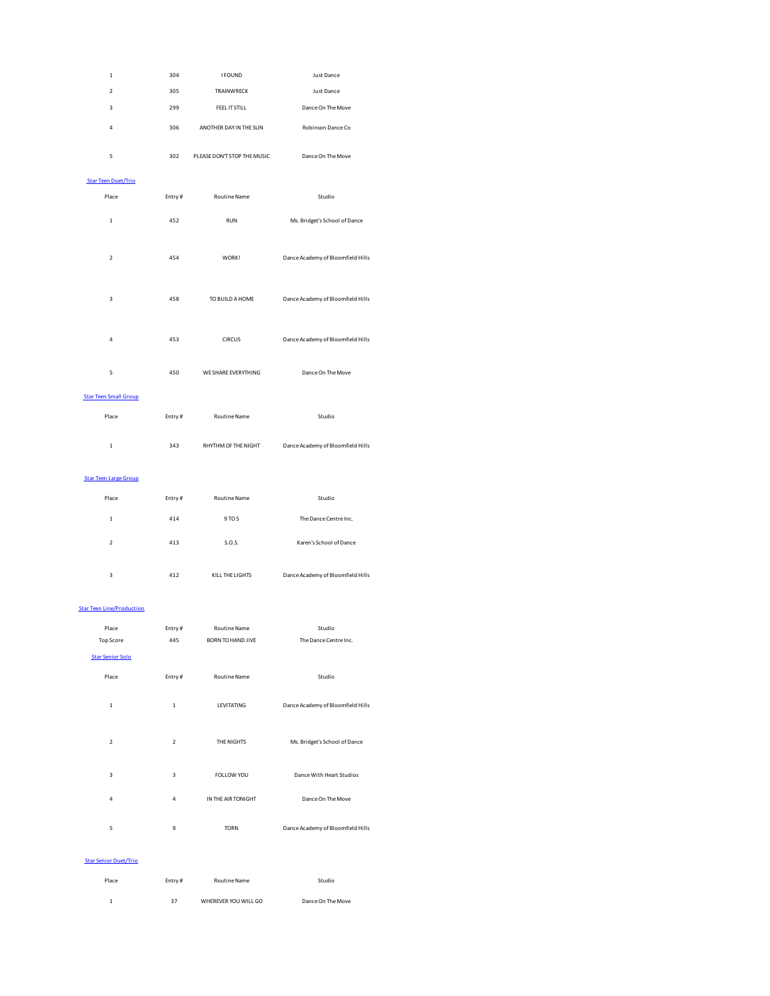| $\mathbf{1}$                     | 304    | <b>I FOUND</b>              | Just Dance                        |
|----------------------------------|--------|-----------------------------|-----------------------------------|
| $\overline{\phantom{a}}$         | 305    | TRAINWRECK                  | <b>Just Dance</b>                 |
| $\overline{\mathbf{3}}$          | 299    | FEEL IT STILL               | Dance On The Move                 |
| $\overline{4}$                   | 306    | ANOTHER DAY IN THE SUN      | Robinson Dance Co                 |
| 5                                | 302    | PLEASE DON'T STOP THE MUSIC | Dance On The Move                 |
| <b>Star Teen Duet/Trio</b>       |        |                             |                                   |
| Place                            | Entry# | Routine Name                | Studio                            |
| $\mathbf 1$                      | 452    | <b>RUN</b>                  | Ms. Bridget's School of Dance     |
| $\overline{\phantom{a}}$         | 454    | WORK!                       | Dance Academy of Bloomfield Hills |
| $\overline{\mathbf{3}}$          | 458    | TO BUILD A HOME             | Dance Academy of Bloomfield Hills |
| 4                                | 453    | <b>CIRCUS</b>               | Dance Academy of Bloomfield Hills |
| 5                                | 450    | WE SHARE EVERYTHING         | Dance On The Move                 |
| <b>Star Teen Small Group</b>     |        |                             |                                   |
| Place                            | Entry# | Routine Name                | Studio                            |
| $\mathbf{1}$                     | 343    | RHYTHM OF THE NIGHT         | Dance Academy of Bloomfield Hills |
| <b>Star Teen Large Group</b>     |        |                             |                                   |
| Place                            | Entry# | <b>Routine Name</b>         | Studio                            |
| $\overline{1}$                   | 414    | 9 TO 5                      | The Dance Centre Inc.             |
| $\overline{2}$                   | 413    | S.O.S.                      | Karen's School of Dance           |
| 3                                | 412    | KILL THE LIGHTS             | Dance Academy of Bloomfield Hills |
|                                  |        |                             |                                   |
| <b>Star Teen Line/Production</b> |        |                             |                                   |
| Place                            | Entry# | Routine Name                | Studio                            |
| Top Score                        | 445    | <b>BORN TO HAND JIVE</b>    | The Dance Centre Inc.             |
| <b>Star Senior Solo</b>          |        |                             |                                   |
| Place                            | Entry# | <b>Routine Name</b>         | Studio                            |

| $\overline{2}$ | $\overline{2}$ | THE NIGHTS         | Ms. Bridget's School of Dance     |
|----------------|----------------|--------------------|-----------------------------------|
| 3              | 3              | FOLLOW YOU         | Dance With Heart Studios          |
| $\overline{4}$ | 4              | IN THE AIR TONIGHT | Dance On The Move                 |
| 5              | 9              | <b>TORN</b>        | Dance Academy of Bloomfield Hills |

#### Star Senior Duet/Trio

| Place | Entry# | Routine Name         | Studio            |
|-------|--------|----------------------|-------------------|
| 1.    | 37     | WHEREVER YOU WILL GO | Dance On The Move |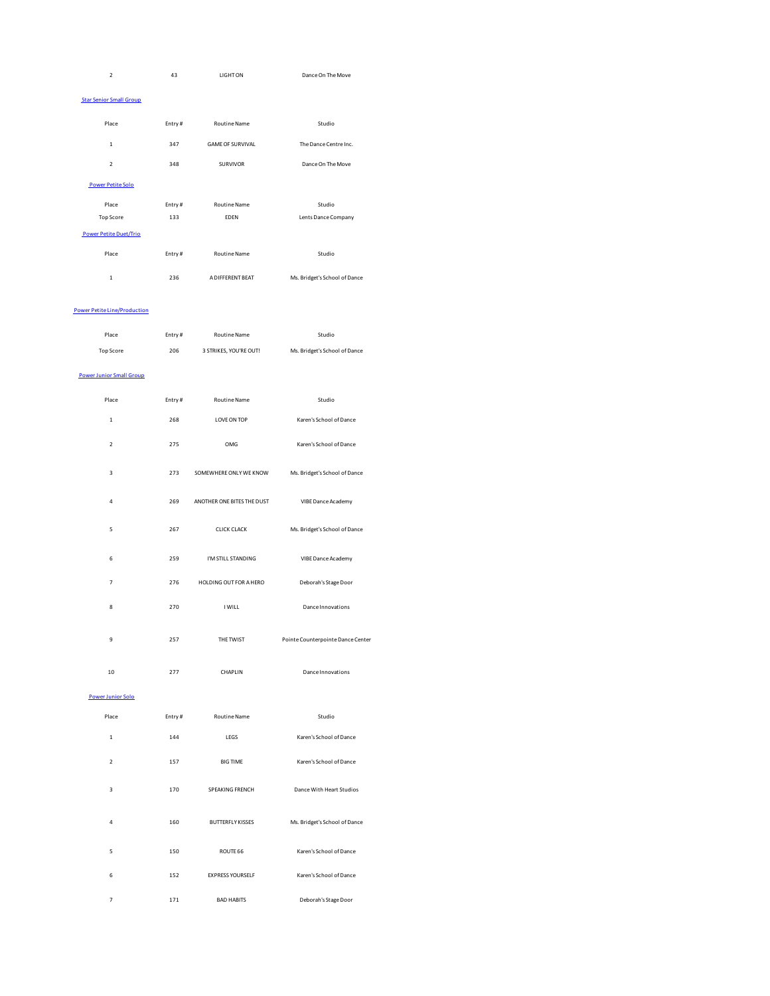| $\mathbf 2$                     | 43     | <b>LIGHT ON</b>            | Dance On The Move                 |
|---------------------------------|--------|----------------------------|-----------------------------------|
| <b>Star Senior Small Group</b>  |        |                            |                                   |
| Place                           | Entry# | Routine Name               | Studio                            |
| $\,1\,$                         | 347    | <b>GAME OF SURVIVAL</b>    | The Dance Centre Inc.             |
| $\overline{2}$                  | 348    | SURVIVOR                   | Dance On The Move                 |
| <b>Power Petite Solo</b>        |        |                            |                                   |
| Place                           | Entry# | Routine Name               | Studio                            |
| <b>Top Score</b>                | 133    | EDEN                       | Lents Dance Company               |
| <b>Power Petite Duet/Trio</b>   |        |                            |                                   |
| Place                           | Entry# | Routine Name               | Studio                            |
| $\mathbf 1$                     | 236    | A DIFFERENT BEAT           | Ms. Bridget's School of Dance     |
| Power Petite Line/Production    |        |                            |                                   |
| Place                           | Entry# | Routine Name               | Studio                            |
| <b>Top Score</b>                | 206    | 3 STRIKES, YOU'RE OUT!     | Ms. Bridget's School of Dance     |
| <b>Power Junior Small Group</b> |        |                            |                                   |
| Place                           | Entry# | Routine Name               | Studio                            |
| 1                               | 268    | LOVE ON TOP                | Karen's School of Dance           |
| $\mathbf 2$                     | 275    | OMG                        | Karen's School of Dance           |
| 3                               | 273    | SOMEWHERE ONLY WE KNOW     | Ms. Bridget's School of Dance     |
| 4                               | 269    | ANOTHER ONE BITES THE DUST | VIBE Dance Academy                |
| 5                               | 267    | <b>CLICK CLACK</b>         | Ms. Bridget's School of Dance     |
| 6                               | 259    | I'M STILL STANDING         | VIBE Dance Academy                |
| 7                               | 276    | HOLDING OUT FOR A HERO     | Deborah's Stage Door              |
| 8                               | 270    | I WILL                     | Dance Innovations                 |
| 9                               | 257    | THE TWIST                  | Pointe Counterpointe Dance Center |
| 10                              | 277    | CHAPLIN                    | Dance Innovations                 |
| Power Junior Solo               |        |                            |                                   |
| Place                           | Entry# | Routine Name               | Studio                            |
| $\mathbf 1$                     | 144    | LEGS                       | Karen's School of Dance           |
| $\mathbf 2$                     | 157    | <b>BIG TIME</b>            | Karen's School of Dance           |
| 3                               | 170    | SPEAKING FRENCH            | Dance With Heart Studios          |
| 4                               | 160    | <b>BUTTERFLY KISSES</b>    | Ms. Bridget's School of Dance     |
| 5                               | 150    | ROUTE 66                   | Karen's School of Dance           |
| 6                               | 152    | <b>EXPRESS YOURSELF</b>    | Karen's School of Dance           |

7 171 BAD HABITS Deborah's Stage Door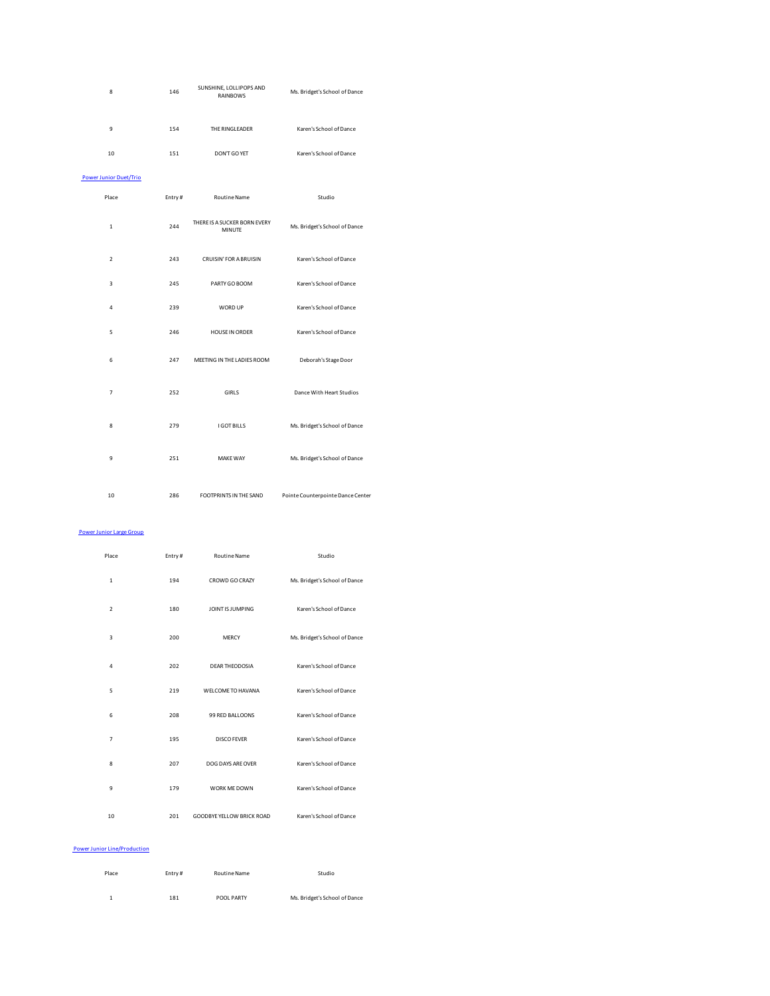| 8                             | 146    | SUNSHINE, LOLLIPOPS AND<br><b>RAINBOWS</b> | Ms. Bridget's School of Dance     |
|-------------------------------|--------|--------------------------------------------|-----------------------------------|
| 9                             | 154    | THE RINGLEADER                             | Karen's School of Dance           |
| 10                            | 151    | DON'T GO YET                               | Karen's School of Dance           |
| <b>Power Junior Duet/Trio</b> |        |                                            |                                   |
| Place                         | Entry# | <b>Routine Name</b>                        | Studio                            |
| $\mathbf{1}$                  | 244    | THERE IS A SUCKER BORN EVERY<br>MINUTE     | Ms. Bridget's School of Dance     |
| $\overline{2}$                | 243    | <b>CRUISIN' FOR A BRUISIN</b>              | Karen's School of Dance           |
| 3                             | 245    | PARTY GO BOOM                              | Karen's School of Dance           |
| $\overline{4}$                | 239    | WORD UP                                    | Karen's School of Dance           |
| 5                             | 246    | HOUSE IN ORDER                             | Karen's School of Dance           |
| 6                             | 247    | MEETING IN THE LADIES ROOM                 | Deborah's Stage Door              |
| $\overline{7}$                | 252    | <b>GIRLS</b>                               | Dance With Heart Studios          |
| 8                             | 279    | <b>I GOT BILLS</b>                         | Ms. Bridget's School of Dance     |
| $\overline{9}$                | 251    | <b>MAKE WAY</b>                            | Ms. Bridget's School of Dance     |
| 10                            | 286    | FOOTPRINTS IN THE SAND                     | Pointe Counterpointe Dance Center |

# Power Junior Large Group

| Place          | Entry# | <b>Routine Name</b>       | Studio                        |
|----------------|--------|---------------------------|-------------------------------|
| $\mathbf{1}$   | 194    | CROWD GO CRAZY            | Ms. Bridget's School of Dance |
| $\overline{2}$ | 180    | JOINT IS JUMPING          | Karen's School of Dance       |
| 3              | 200    | <b>MERCY</b>              | Ms. Bridget's School of Dance |
| 4              | 202    | <b>DEAR THEODOSIA</b>     | Karen's School of Dance       |
| 5              | 219    | WELCOME TO HAVANA         | Karen's School of Dance       |
| 6              | 208    | 99 RED BALLOONS           | Karen's School of Dance       |
| $\overline{7}$ | 195    | <b>DISCO FEVER</b>        | Karen's School of Dance       |
| 8              | 207    | DOG DAYS ARE OVER         | Karen's School of Dance       |
| 9              | 179    | WORK ME DOWN              | Karen's School of Dance       |
| 10             | 201    | GOODBYE YELLOW BRICK ROAD | Karen's School of Dance       |

# Power Junior Line/Production

| Place | Entry# | Routine Name | Studio                        |
|-------|--------|--------------|-------------------------------|
| 1     | 181    | POOL PARTY   | Ms. Bridget's School of Dance |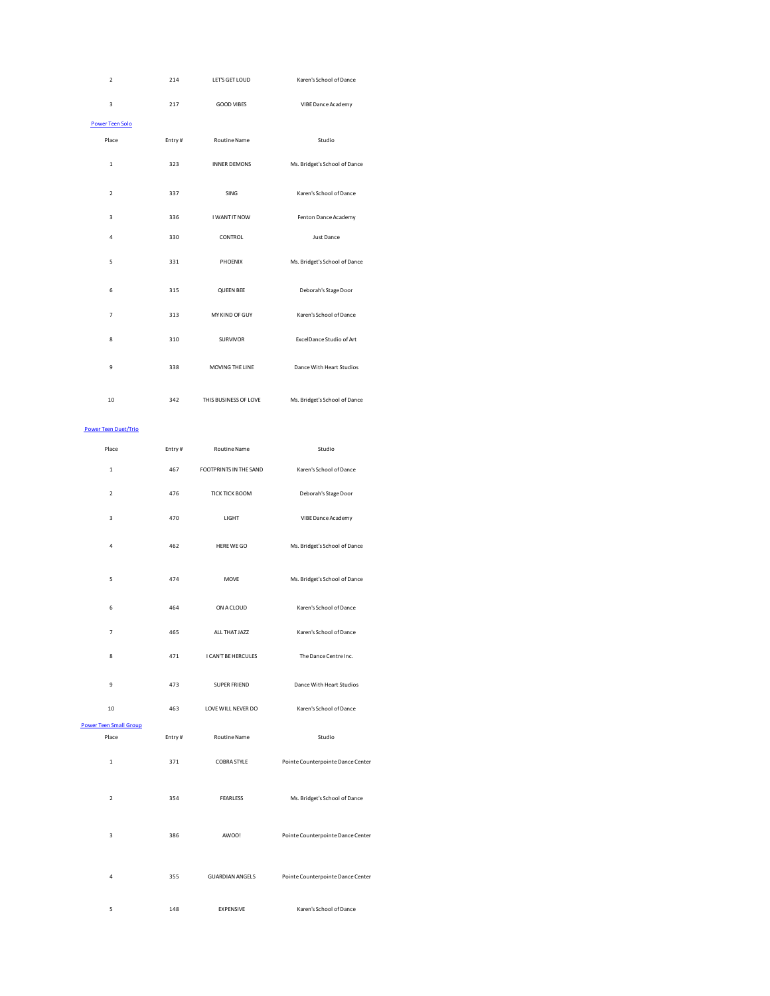| $\mathbf 2$                         | 214    | LET'S GET LOUD         | Karen's School of Dance           |
|-------------------------------------|--------|------------------------|-----------------------------------|
| 3                                   | 217    | <b>GOOD VIBES</b>      | VIBE Dance Academy                |
| Power Teen Solo                     |        |                        |                                   |
| Place                               | Entry# | Routine Name           | Studio                            |
| $\mathbf 1$                         | 323    | <b>INNER DEMONS</b>    | Ms. Bridget's School of Dance     |
| $\overline{\mathbf{2}}$             | 337    | SING                   | Karen's School of Dance           |
| 3                                   | 336    | I WANT IT NOW          | Fenton Dance Academy              |
| 4                                   | 330    | CONTROL                | <b>Just Dance</b>                 |
| 5                                   | 331    | PHOENIX                | Ms. Bridget's School of Dance     |
| 6                                   | 315    | <b>QUEEN BEE</b>       | Deborah's Stage Door              |
| 7                                   | 313    | MY KIND OF GUY         | Karen's School of Dance           |
| 8                                   | 310    | SURVIVOR               | ExcelDance Studio of Art          |
| 9                                   | 338    | MOVING THE LINE        | Dance With Heart Studios          |
| 10                                  | 342    | THIS BUSINESS OF LOVE  | Ms. Bridget's School of Dance     |
| <b>Power Teen Duet/Trio</b>         |        |                        |                                   |
| Place                               | Entry# | Routine Name           | Studio                            |
| $\mathbf 1$                         | 467    | FOOTPRINTS IN THE SAND | Karen's School of Dance           |
| 2                                   | 476    | <b>TICK TICK BOOM</b>  | Deborah's Stage Door              |
| з                                   | 470    | LIGHT                  | VIBE Dance Academy                |
| 4                                   | 462    | HERE WE GO             | Ms. Bridget's School of Dance     |
| 5                                   | 474    | <b>MOVE</b>            | Ms. Bridget's School of Dance     |
| 6                                   | 464    | ON A CLOUD             | Karen's School of Dance           |
| 7                                   | 465    | ALL THAT JAZZ          | Karen's School of Dance           |
| 8                                   | 471    | I CAN'T BE HERCULES    | The Dance Centre Inc.             |
| 9                                   | 473    | <b>SUPER FRIEND</b>    | Dance With Heart Studios          |
| 10<br><b>Power Teen Small Group</b> | 463    | LOVE WILL NEVER DO     | Karen's School of Dance           |
| Place                               | Entry# | Routine Name           | Studio                            |
|                                     |        |                        |                                   |
| $\mathbf 1$                         | 371    | COBRA STYLE            | Pointe Counterpointe Dance Center |
| $\overline{2}$                      | 354    | <b>FEARLESS</b>        | Ms. Bridget's School of Dance     |
| 3                                   | 386    | AWOO!                  | Pointe Counterpointe Dance Center |
| 4                                   | 355    | <b>GUARDIAN ANGELS</b> | Pointe Counterpointe Dance Center |
| 5                                   | 148    | <b>EXPENSIVE</b>       | Karen's School of Dance           |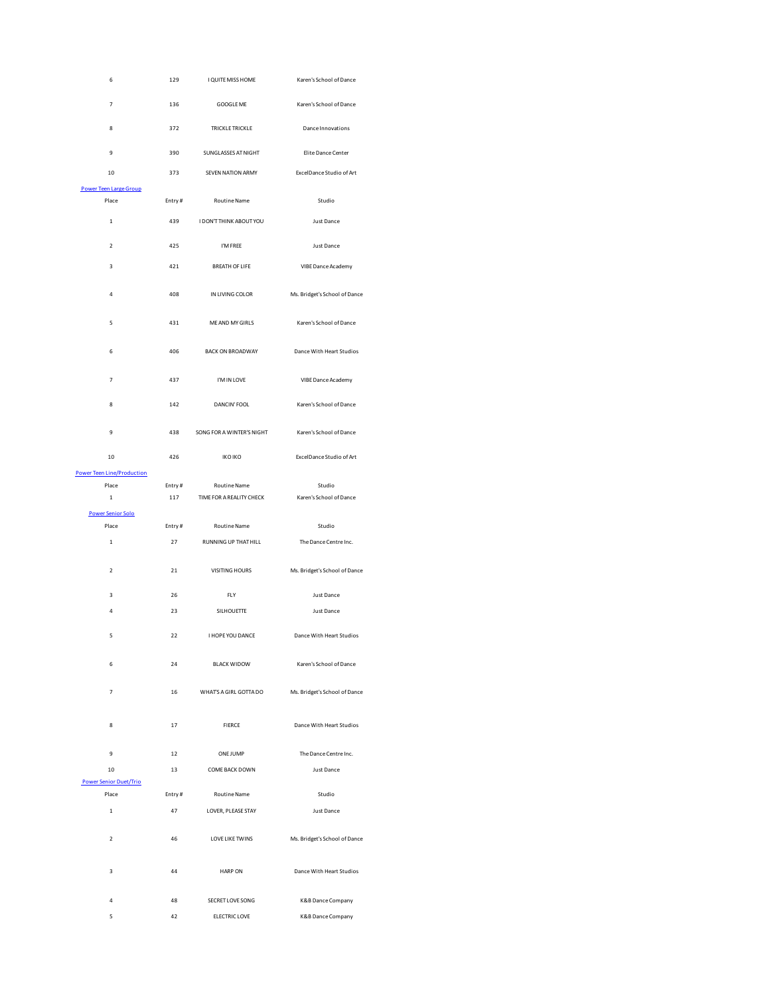| 6                                      | 129    | I QUITE MISS HOME         | Karen's School of Dance       |
|----------------------------------------|--------|---------------------------|-------------------------------|
| 7                                      | 136    | GOOGLE ME                 | Karen's School of Dance       |
| 8                                      | 372    | TRICKLE TRICKLE           | Dance Innovations             |
| 9                                      | 390    | SUNGLASSES AT NIGHT       | Elite Dance Center            |
| 10                                     | 373    | SEVEN NATION ARMY         | Excel Dance Studio of Art     |
| <b>Power Teen Large Group</b><br>Place | Entry# | Routine Name              | Studio                        |
| $\mathbf 1$                            | 439    | I DON'T THINK ABOUT YOU   | Just Dance                    |
| $\mathbf 2$                            | 425    | I'M FREE                  | Just Dance                    |
| 3                                      | 421    | <b>BREATH OF LIFE</b>     | VIBE Dance Academy            |
| 4                                      | 408    | IN LIVING COLOR           | Ms. Bridget's School of Dance |
| 5                                      | 431    | ME AND MY GIRLS           | Karen's School of Dance       |
| 6                                      | 406    | <b>BACK ON BROADWAY</b>   | Dance With Heart Studios      |
| 7                                      | 437    | I'M IN LOVE               | VIBE Dance Academy            |
| 8                                      | 142    | DANCIN' FOOL              | Karen's School of Dance       |
| 9                                      | 438    | SONG FOR A WINTER'S NIGHT | Karen's School of Dance       |
| 10                                     | 426    | <b>IKO IKO</b>            | Excel Dance Studio of Art     |
| <b>Power Teen Line/Production</b>      |        |                           |                               |
| Place                                  | Entry# | Routine Name              | Studio                        |
| $\,1\,$                                | 117    | TIME FOR A REALITY CHECK  | Karen's School of Dance       |
| <b>Power Senior Solo</b><br>Place      | Entry# | Routine Name              | Studio                        |
| $\mathbf 1$                            | 27     | RUNNING UP THAT HILL      | The Dance Centre Inc.         |
| $\overline{\mathbf{2}}$                | 21     | VISITING HOURS            | Ms. Bridget's School of Dance |
| 3                                      | 26     | FLY                       | Just Dance                    |
| 4                                      | 23     | SILHOUETTE                | Just Dance                    |
| 5                                      | 22     | I HOPE YOU DANCE          | Dance With Heart Studios      |
| 6                                      | 24     | <b>BLACK WIDOW</b>        | Karen's School of Dance       |
| 7                                      | 16     | WHAT'S A GIRL GOTTA DO    | Ms. Bridget's School of Dance |
| 8                                      | 17     | <b>FIERCE</b>             | Dance With Heart Studios      |
| 9                                      | 12     | ONE JUMP                  | The Dance Centre Inc.         |
| 10                                     | 13     | COME BACK DOWN            | Just Dance                    |
| <b>Power Senior Duet/Trio</b>          |        |                           |                               |
| Place                                  | Entry# | Routine Name              | Studio                        |
| $\mathbf{1}$                           | 47     | LOVER, PLEASE STAY        | Just Dance                    |
| $\overline{\phantom{a}}$               | 46     | <b>LOVE LIKE TWINS</b>    | Ms. Bridget's School of Dance |
| 3                                      | 44     | <b>HARP ON</b>            | Dance With Heart Studios      |
| 4                                      | 48     | SECRET LOVE SONG          | K&B Dance Company             |
| 5                                      | 42     | ELECTRIC LOVE             | K&B Dance Company             |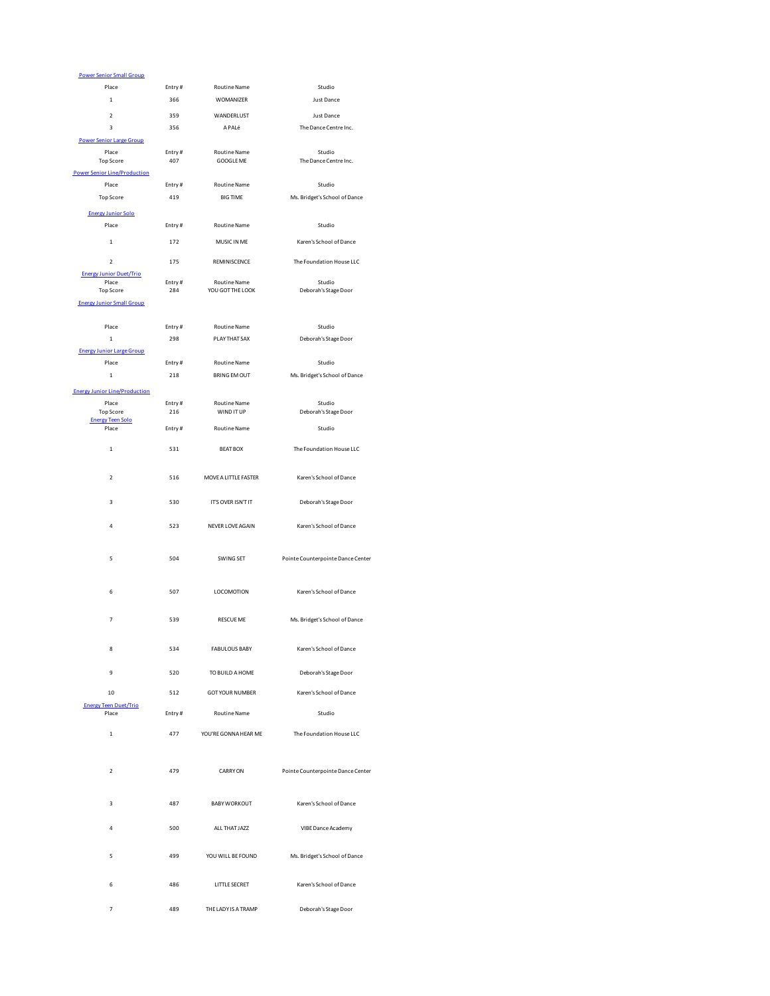| <b>Power Senior Small Group</b>                         |        |                        |                                   |
|---------------------------------------------------------|--------|------------------------|-----------------------------------|
| Place                                                   | Entry# | Routine Name           | Studio                            |
| $\mathbf 1$                                             | 366    | WOMANIZER              | Just Dance                        |
| $\mathbf 2$                                             | 359    | WANDERLUST             | Just Dance                        |
| 3                                                       | 356    | APALé                  | The Dance Centre Inc.             |
| <b>Power Senior Large Group</b>                         |        |                        |                                   |
| Place                                                   | Entry# | <b>Routine Name</b>    | Studio<br>The Dance Centre Inc.   |
| <b>Top Score</b><br><b>Power Senior Line/Production</b> | 407    | GOOGLE ME              |                                   |
| Place                                                   | Entry# | Routine Name           | Studio                            |
| <b>Top Score</b>                                        | 419    | <b>BIG TIME</b>        | Ms. Bridget's School of Dance     |
|                                                         |        |                        |                                   |
| <b>Energy Junior Solo</b>                               |        |                        |                                   |
| Place                                                   | Entry# | Routine Name           | Studio                            |
| 1                                                       | 172    | MUSIC IN ME            | Karen's School of Dance           |
| $\overline{\mathbf{2}}$                                 | 175    | REMINISCENCE           | The Foundation House LLC          |
| <b>Energy Junior Duet/Trio</b>                          |        |                        |                                   |
| Place                                                   | Entry# | Routine Name           | Studio                            |
| Top Score                                               | 284    | YOU GOT THE LOOK       | Deborah's Stage Door              |
| <b>Energy Junior Small Group</b>                        |        |                        |                                   |
| Place                                                   | Entry# | Routine Name           | Studio                            |
| $\,$ 1 $\,$                                             | 298    | PLAY THAT SAX          | Deborah's Stage Door              |
| <b>Energy Junior Large Group</b>                        |        |                        |                                   |
| Place                                                   | Entry# | Routine Name           | Studio                            |
| $\mathbf{1}$                                            | 218    | <b>BRING EM OUT</b>    | Ms. Bridget's School of Dance     |
| <b>Energy Junior Line/Production</b>                    |        |                        |                                   |
| Place                                                   | Entry# | Routine Name           | Studio                            |
| <b>Top Score</b>                                        | 216    | WIND IT UP             | Deborah's Stage Door              |
| <b>Energy Teen Solo</b><br>Place                        | Entry# | Routine Name           | Studio                            |
|                                                         |        |                        |                                   |
| $\mathbf 1$                                             | 531    | <b>BEAT BOX</b>        | The Foundation House LLC          |
|                                                         |        |                        |                                   |
| $\overline{2}$                                          | 516    | MOVE A LITTLE FASTER   | Karen's School of Dance           |
|                                                         |        |                        |                                   |
| з                                                       | 530    | IT'S OVER ISN'T IT     | Deborah's Stage Door              |
|                                                         |        |                        |                                   |
| 4                                                       | 523    | NEVER LOVE AGAIN       | Karen's School of Dance           |
|                                                         |        |                        |                                   |
| 5                                                       | 504    | SWING SET              | Pointe Counterpointe Dance Center |
|                                                         |        |                        |                                   |
|                                                         |        |                        |                                   |
| 6                                                       | 507    | LOCOMOTION             | Karen's School of Dance           |
|                                                         |        |                        |                                   |
| 7                                                       | 539    | RESCUE ME              | Ms. Bridget's School of Dance     |
|                                                         |        |                        |                                   |
| 8                                                       | 534    | <b>FABULOUS BABY</b>   | Karen's School of Dance           |
|                                                         |        |                        |                                   |
| 9                                                       | 520    | TO BUILD A HOME        | Deborah's Stage Door              |
|                                                         |        | <b>GOT YOUR NUMBER</b> |                                   |
| 10                                                      | 512    |                        | Karen's School of Dance           |
| <b>Energy Teen Duet/Trio</b><br>Place                   | Entry# | Routine Name           | Studio                            |
|                                                         |        |                        |                                   |
| $\mathbf 1$                                             | 477    | YOU'RE GONNA HEAR ME   | The Foundation House LLC          |
|                                                         |        |                        |                                   |
| $\mathbf 2$                                             | 479    | CARRY ON               | Pointe Counterpointe Dance Center |
|                                                         |        |                        |                                   |
|                                                         |        |                        |                                   |
| 3                                                       | 487    | <b>BABY WORKOUT</b>    | Karen's School of Dance           |
|                                                         |        |                        |                                   |
| $\overline{4}$                                          | 500    | ALL THAT JAZZ          | VIBE Dance Academy                |
|                                                         |        |                        |                                   |
| 5                                                       | 499    | YOU WILL BE FOUND      | Ms. Bridget's School of Dance     |
|                                                         |        |                        |                                   |
| 6                                                       | 486    | LITTLE SECRET          | Karen's School of Dance           |
|                                                         |        |                        |                                   |
| $\overline{\phantom{a}}$<br>THE LADY IS A TRAMP<br>489  |        | Deborah's Stage Door   |                                   |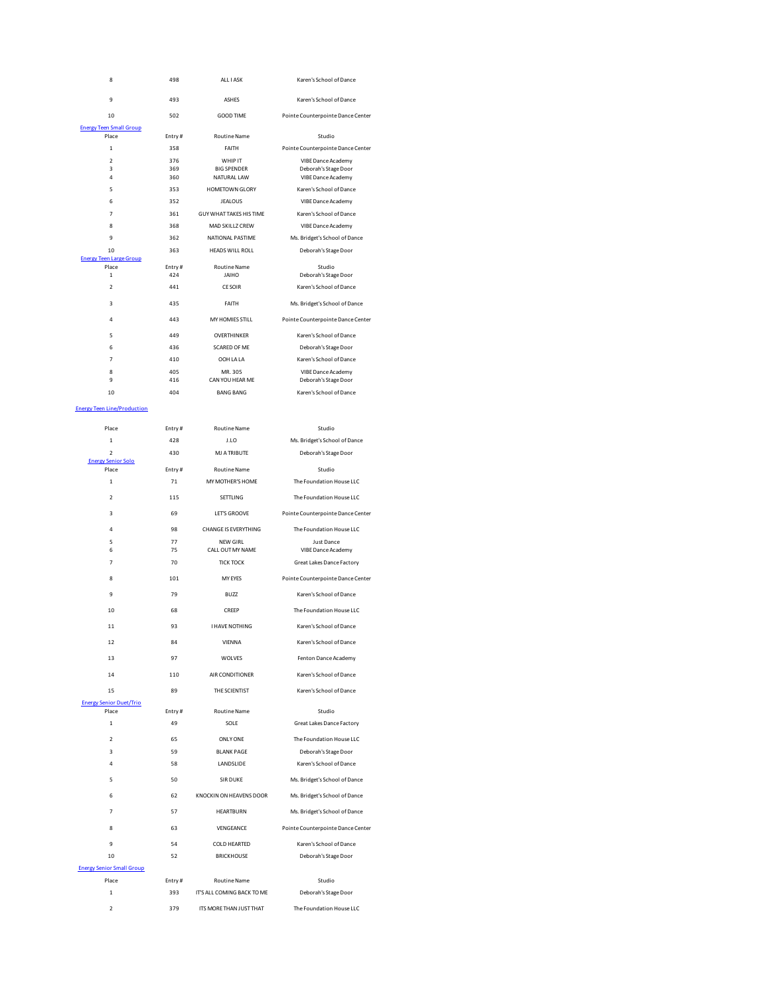| 8                                       | 498          | ALL I ASK<br>Karen's School of Dance                                                     |                                                 |
|-----------------------------------------|--------------|------------------------------------------------------------------------------------------|-------------------------------------------------|
| 9                                       | 493          | <b>ASHES</b><br>Karen's School of Dance                                                  |                                                 |
| 10                                      | 502          | GOOD TIME                                                                                | Pointe Counterpointe Dance Center               |
| <b>Energy Teen Small Group</b>          |              |                                                                                          |                                                 |
| Place                                   | Entry#       | Routine Name                                                                             | Studio                                          |
| $\mathbf 1$                             | 358          | FAITH                                                                                    | Pointe Counterpointe Dance Center               |
| $\overline{2}$<br>3                     | 376<br>369   | WHIP IT<br><b>BIG SPENDER</b>                                                            | VIBE Dance Academy<br>Deborah's Stage Door      |
| 4                                       | 360          | NATURAL LAW                                                                              | VIBE Dance Academy                              |
| 5                                       | 353          | HOMETOWN GLORY                                                                           | Karen's School of Dance                         |
| 6                                       | 352          | <b>JEALOUS</b>                                                                           | VIBE Dance Academy                              |
| $\overline{7}$<br>8                     | 361<br>368   | GUY WHAT TAKES HIS TIME<br>MAD SKILLZ CREW                                               | Karen's School of Dance<br>VIBE Dance Academy   |
| 9                                       | 362          | NATIONAL PASTIME                                                                         | Ms. Bridget's School of Dance                   |
| 10                                      | 363          | <b>HEADS WILL ROLL</b>                                                                   | Deborah's Stage Door                            |
| <b>Energy Teen Large Group</b><br>Place | Entry#       | Routine Name                                                                             | Studio                                          |
| $\mathbf 1$                             | 424          | JAIHO                                                                                    | Deborah's Stage Door                            |
| $\overline{\phantom{a}}$                | 441          | <b>CE SOIR</b>                                                                           | Karen's School of Dance                         |
| 3                                       | 435          | FAITH                                                                                    | Ms. Bridget's School of Dance                   |
| $\overline{a}$                          | 443          | MY HOMIES STILL                                                                          | Pointe Counterpointe Dance Center               |
| 5                                       | 449          | OVERTHINKER                                                                              | Karen's School of Dance                         |
| 6                                       | 436          | SCARED OF ME                                                                             | Deborah's Stage Door                            |
| 7                                       | 410          | OOH LA LA                                                                                | Karen's School of Dance                         |
| 8                                       | 405          | MR. 305                                                                                  | VIBE Dance Academy                              |
| 9                                       | 416          | CAN YOU HEAR ME                                                                          | Deborah's Stage Door                            |
| 10                                      | 404          | <b>BANG BANG</b>                                                                         | Karen's School of Dance                         |
| <b>Energy Teen Line/Production</b>      |              |                                                                                          |                                                 |
| Place                                   | Entry#       | <b>Routine Name</b>                                                                      | Studio                                          |
| $\mathbf 1$                             | 428          | J.LO                                                                                     | Ms. Bridget's School of Dance                   |
| $\mathbf 2$                             | 430          | MJ A TRIBUTE                                                                             | Deborah's Stage Door                            |
| <b>Energy Senior Solo</b><br>Place      | Entry#       | Routine Name                                                                             | Studio                                          |
| $\mathbf{1}$                            | 71           | MY MOTHER'S HOME                                                                         | The Foundation House LLC                        |
| $\mathbf 2$                             | 115          | SETTLING                                                                                 | The Foundation House LLC                        |
| з                                       | 69           | LET'S GROOVE                                                                             | Pointe Counterpointe Dance Center               |
|                                         |              |                                                                                          |                                                 |
| 4<br>5                                  | 98<br>77     | <b>CHANGE IS EVERYTHING</b><br>The Foundation House LLC<br>NFW GIRL<br><b>Just Dance</b> |                                                 |
| 6                                       | 75           | CALL OUT MY NAME                                                                         | VIBE Dance Academy                              |
| $\overline{7}$                          | 70           | <b>TICK TOCK</b><br>Great Lakes Dance Factory                                            |                                                 |
| 8                                       | 101          | MY EYES<br>Pointe Counterpointe Dance Center                                             |                                                 |
| 9                                       | 79           | <b>BUZZ</b>                                                                              | Karen's School of Dance                         |
| 10                                      | 68           | CREEP<br>The Foundation House LLC                                                        |                                                 |
| 11                                      | 93           | <b>I HAVE NOTHING</b>                                                                    | Karen's School of Dance                         |
|                                         |              |                                                                                          |                                                 |
| 12                                      | 84           | VIENNA<br>Karen's School of Dance                                                        |                                                 |
| 13                                      | 97           | <b>WOLVES</b><br>Fenton Dance Academy                                                    |                                                 |
| 14                                      | 110          | AIR CONDITIONER<br>Karen's School of Dance                                               |                                                 |
| 15                                      | 89           | THE SCIENTIST                                                                            | Karen's School of Dance                         |
| <b>Energy Senior Duet/Trio</b><br>Place |              | <b>Routine Name</b>                                                                      |                                                 |
| $\mathbf 1$                             | Entry#<br>49 | Studio<br>SOLE<br>Great Lakes Dance Factory                                              |                                                 |
|                                         |              |                                                                                          |                                                 |
| $\overline{\mathbf{c}}$                 | 65           | <b>ONLY ONE</b>                                                                          | The Foundation House LLC                        |
| 3<br>4                                  | 59<br>58     | <b>BLANK PAGE</b><br>LANDSLIDE                                                           | Deborah's Stage Door<br>Karen's School of Dance |
|                                         |              |                                                                                          |                                                 |
| 5                                       | 50           | <b>SIR DUKE</b>                                                                          | Ms. Bridget's School of Dance                   |
| 6                                       | 62           | KNOCKIN ON HEAVENS DOOR                                                                  | Ms. Bridget's School of Dance                   |
| $\overline{7}$                          | 57           | Ms. Bridget's School of Dance<br>HEARTBURN                                               |                                                 |
| 8                                       | 63           | VENGEANCE<br>Pointe Counterpointe Dance Center                                           |                                                 |
| 9                                       | 54           | COLD HEARTED<br>Karen's School of Dance                                                  |                                                 |
| 10                                      | 52           | <b>BRICKHOUSE</b><br>Deborah's Stage Door                                                |                                                 |
| <b>Energy Senior Small Group</b>        |              |                                                                                          |                                                 |
| Place                                   | Entry#       | Routine Name<br>Studio                                                                   |                                                 |
| $\mathbf 1$                             | 393          | IT'S ALL COMING BACK TO ME                                                               | Deborah's Stage Door                            |
| $\mathbf 2$                             | 379          | ITS MORE THAN JUST THAT<br>The Foundation House LLC                                      |                                                 |
|                                         |              |                                                                                          |                                                 |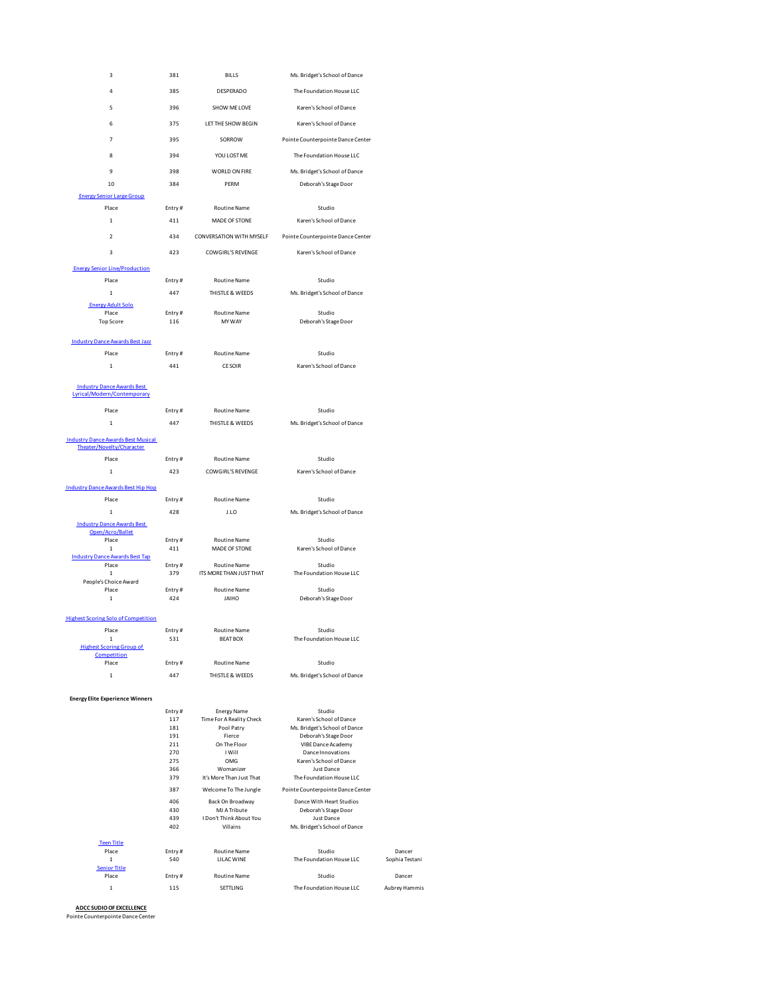| 3                                                  | 381           | <b>BILLS</b>                                  | Ms. Bridget's School of Dance                                 |            |
|----------------------------------------------------|---------------|-----------------------------------------------|---------------------------------------------------------------|------------|
| 4                                                  | 385           | DESPERADO<br>The Foundation House LLC         |                                                               |            |
| 5                                                  | 396           | SHOW ME LOVE                                  | Karen's School of Dance                                       |            |
|                                                    |               |                                               |                                                               |            |
| 6                                                  | 375           | LET THE SHOW BEGIN<br>Karen's School of Dance |                                                               |            |
| 7                                                  | 395           | SORROW                                        | Pointe Counterpointe Dance Center                             |            |
| 8                                                  | 394           | YOU LOST ME                                   | The Foundation House LLC                                      |            |
| 9                                                  | 398           | WORLD ON FIRE                                 | Ms. Bridget's School of Dance                                 |            |
| 10                                                 | 384           | PFRM                                          | Deborah's Stage Door                                          |            |
| <b>Energy Senior Large Group</b>                   |               |                                               |                                                               |            |
| Place                                              | Entry#        | Routine Name                                  | Studio                                                        |            |
| $\mathbf 1$                                        | 411           | MADE OF STONE                                 | Karen's School of Dance                                       |            |
| $\overline{\phantom{a}}$                           | 434           | CONVERSATION WITH MYSELF                      | Pointe Counterpointe Dance Center                             |            |
| 3                                                  | 423           | <b>COWGIRL'S REVENGE</b>                      | Karen's School of Dance                                       |            |
| <b>Energy Senior Line/Production</b>               |               |                                               |                                                               |            |
| Place                                              | Entry#        | Routine Name                                  | Studio                                                        |            |
| $\mathbf 1$                                        | 447           | THISTLE & WEEDS                               | Ms. Bridget's School of Dance                                 |            |
| <b>Energy Adult Solo</b>                           |               |                                               |                                                               |            |
| Place<br><b>Top Score</b>                          | Entry#<br>116 | <b>Routine Name</b><br>MY WAY                 | Studio<br>Deborah's Stage Door                                |            |
|                                                    |               |                                               |                                                               |            |
| <b>Industry Dance Awards Best Jazz</b>             |               |                                               |                                                               |            |
| Place                                              | Entry#        | <b>Routine Name</b>                           | Studio                                                        |            |
| $\mathbf 1$                                        | 441           | <b>CE SOIR</b>                                | Karen's School of Dance                                       |            |
| <b>Industry Dance Awards Best</b>                  |               |                                               |                                                               |            |
| Lyrical/Modern/Contemporary                        |               |                                               |                                                               |            |
| Place                                              | Entry#        | Routine Name                                  | Studio                                                        |            |
| $\,$ 1 $\,$                                        | 447           | THISTLE & WEEDS                               | Ms. Bridget's School of Dance                                 |            |
| <b>Industry Dance Awards Best Musical</b>          |               |                                               |                                                               |            |
| Theater/Novelty/Character                          |               |                                               |                                                               |            |
| Place<br>1                                         | Entry#<br>423 | Routine Name<br><b>COWGIRL'S REVENGE</b>      | Studio<br>Karen's School of Dance                             |            |
|                                                    |               |                                               |                                                               |            |
| <b>Industry Dance Awards Best Hip Hop</b><br>Place | Entry#        | Routine Name                                  | Studio                                                        |            |
| $\mathbf 1$                                        | 428           | J.LO                                          | Ms. Bridget's School of Dance                                 |            |
| <b>Industry Dance Awards Best</b>                  |               |                                               |                                                               |            |
| Open/Acro/Ballet                                   |               |                                               | Studio                                                        |            |
| Place<br>1                                         | Entry#<br>411 | <b>Routine Name</b><br>MADE OF STONE          | Karen's School of Dance                                       |            |
| <b>Industry Dance Awards Best Tap</b><br>Place     | Entry#        | Routine Name                                  | Studio                                                        |            |
| $\mathbf 1$                                        | 379           | ITS MORE THAN JUST THAT                       | The Foundation House LLC                                      |            |
| People's Choice Award<br>Place                     | Entry#        | Routine Name                                  | Studio                                                        |            |
| $\mathbf 1$                                        | 424           | JAIHO                                         | Deborah's Stage Door                                          |            |
| <b>Highest Scoring Solo of Competition</b>         |               |                                               |                                                               |            |
| Place                                              | Entry#        | <b>Routine Name</b>                           | Studio                                                        |            |
| 1<br><b>Highest Scoring Group of</b>               | 531           | <b>BEAT BOX</b>                               | The Foundation House LLC                                      |            |
| Competition                                        |               |                                               |                                                               |            |
| Place<br>$\mathbf{1}$                              | Entry#<br>447 | Routine Name<br>THISTLE & WEEDS               | Studio<br>Ms. Bridget's School of Dance                       |            |
|                                                    |               |                                               |                                                               |            |
| <b>Energy Elite Experience Winners</b>             |               |                                               |                                                               |            |
|                                                    | Entry#        | <b>Energy Name</b>                            | Studio                                                        |            |
|                                                    | 117<br>181    | Time For A Reality Check<br>Pool Patry        | Karen's School of Dance<br>Ms. Bridget's School of Dance      |            |
|                                                    | 191           | Fierce                                        | Deborah's Stage Door                                          |            |
|                                                    | 211           | On The Floor                                  | VIBE Dance Academy                                            |            |
|                                                    | 270<br>275    | I Will<br>OMG                                 | Dance Innovations<br>Karen's School of Dance                  |            |
|                                                    | 366           | Womanizer                                     | <b>Just Dance</b>                                             |            |
|                                                    | 379           | It's More Than Just That                      | The Foundation House LLC                                      |            |
|                                                    | 387<br>406    | Welcome To The Jungle<br>Back On Broadway     | Pointe Counterpointe Dance Center<br>Dance With Heart Studios |            |
|                                                    | 430           | MJ A Tribute                                  | Deborah's Stage Door                                          |            |
|                                                    | 439<br>402    | I Don't Think About You<br>Villains           | Just Dance<br>Ms. Bridget's School of Dance                   |            |
|                                                    |               |                                               |                                                               |            |
| <b>Teen Title</b><br>Place                         | Entry#        | Routine Name                                  | Studio                                                        | Dancer     |
| 1                                                  | 540           | LILAC WINE                                    | The Foundation House LLC                                      | Sophia Tes |
| <b>Senior Title</b><br>Place                       | Entry#        | Routine Name                                  | Studio                                                        | Dancer     |
| $\mathbf{1}$                                       | 115           | SETTLING                                      | The Foundation House LLC                                      | Aubrey Han |
|                                                    |               |                                               |                                                               |            |

Dancer<br>1 Sophia Testani

Aubrey Hammis

**ADCC SUDIO OF EXCELLENCE** Pointe Counterpointe Dance Center